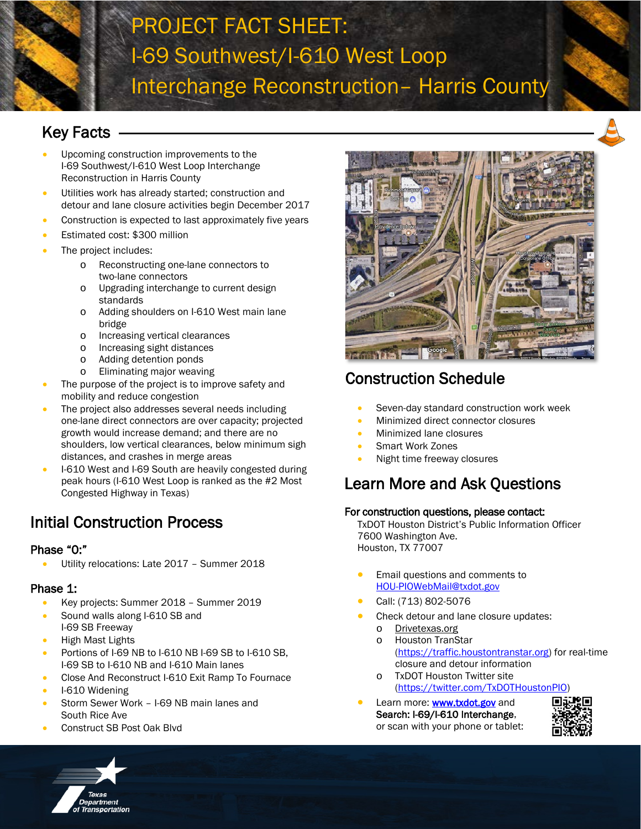## PROJECT FACT SHEET: I-69 Southwest/I-610 West Loop Interchange Reconstruction– Harris County

## Key Facts

- Upcoming construction improvements to the I-69 Southwest/I-610 West Loop Interchange Reconstruction in Harris County
- Utilities work has already started; construction and detour and lane closure activities begin December 2017
- Construction is expected to last approximately five years
- Estimated cost: \$300 million
- The project includes:
	- o Reconstructing one-lane connectors to two-lane connectors
	- o Upgrading interchange to current design standards
	- o Adding shoulders on I-610 West main lane bridge
	- o Increasing vertical clearances
	- o Increasing sight distances<br>o Adding detention ponds
	- Adding detention ponds
	- o Eliminating major weaving
- The purpose of the project is to improve safety and mobility and reduce congestion
- The project also addresses several needs including one-lane direct connectors are over capacity; projected growth would increase demand; and there are no shoulders, low vertical clearances, below minimum sigh distances, and crashes in merge areas
- I-610 West and I-69 South are heavily congested during peak hours (I-610 West Loop is ranked as the #2 Most Congested Highway in Texas)

## Initial Construction Process

#### Phase "0:"

• Utility relocations: Late 2017 – Summer 2018

#### Phase 1:

j

- Key projects: Summer 2018 Summer 2019
- Sound walls along I-610 SB and I-69 SB Freeway
- High Mast Lights
- Portions of I-69 NB to I-610 NB I-69 SB to I-610 SB. I-69 SB to I-610 NB and I-610 Main lanes
- Close And Reconstruct I-610 Exit Ramp To Fournace
- I-610 Widening
- Storm Sewer Work I-69 NB main lanes and South Rice Ave
- Construct SB Post Oak Blvd





## Construction Schedule

- Seven-day standard construction work week
- Minimized direct connector closures
- Minimized lane closures
- Smart Work Zones
- Night time freeway closures

### Learn More and Ask Questions

#### For construction questions, please contact:

TxDOT Houston District's Public Information Officer 7600 Washington Ave. Houston, TX 77007

- Email questions and comments to [HOU-PIOWebMail@txdot.gov](mailto:HOU-PIOWebMail@txdot.gov)
- Call: (713) 802-5076
- Check detour and lane closure updates:
	- o Drivetexas.org
	- o Houston TranStar [\(https://traffic.houstontranstar.org\)](https://traffic.houstontranstar.org/) for real-time closure and detour information
	- o TxDOT Houston Twitter site [\(https://twitter.com/TxDOTHoustonPIO\)](https://twitter.com/TxDOTHoustonPIO)
- Learn more: **www.txdot.gov** and Search: I-69/I-610 Interchange, or scan with your phone or tablet: